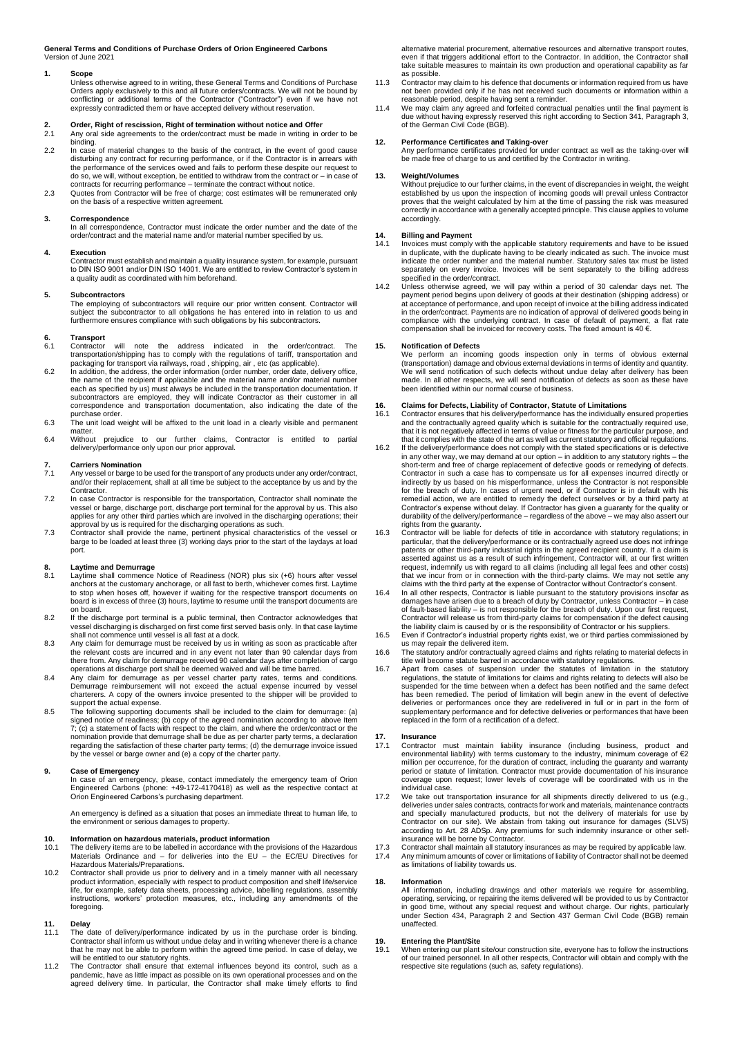**General Terms and Conditions of Purchase Orders of Orion Engineered Carbons** Version of June 2021

#### **1. Scope**

Unless otherwise agreed to in writing, these General Terms and Conditions of Purchase Orders apply exclusively to this and all future orders/contracts. We will not be bound by conflicting or additional terms of the Contractor ("Contractor") even if we have not expressly contradicted them or have accepted delivery without reservation.

# **2. Order, Right of rescission, Right of termination without notice and Offer**

- 2.1 Any oral side agreements to the order/contract must be made in writing in order to be binding.
- 2.2 In case of material changes to the basis of the contract, in the event of good cause<br>disturbing any contract for recurring performance, or if the Contractor is in arrears with<br>the performance of the services owed and f do so, we will, without exception, be entitled to withdraw from the contract or – in case of
- contracts for recurring performance terminate the contract without notice. 2.3 Quotes from Contractor will be free of charge; cost estimates will be remunerated only on the basis of a respective written agreement.

#### **3. Correspondence**

In all correspondence, Contractor must indicate the order number and the date of the order/contract and the material name and/or material number specified by us.

**4. Execution** Contractor must establish and maintain a quality insurance system, for example, pursuant to DIN ISO 9001 and/or DIN ISO 14001. We are entitled to review Contractor's system in a quality audit as coordinated with him beforehand.

#### **5. Subcontractors**

The employing of subcontractors will require our prior written consent. Contractor will subject the subcontractor to all obligations he has entered into in relation to us and furthermore ensures compliance with such obligations by his subcontractors.

# **6. Transport**

will note the address indicated in the order/contract. The transportation/shipping has to comply with the regulations of tariff, transportation and packaging for transport via railways, road , shipping, air , etc (as applicable).

- 6.2 In addition, the address, the order information (order number, order date, delivery office, the name of the recipient if applicable and the material name and/or material number<br>the name of the recipient if applicable and the material name and/or material number each as specified by us) must always be included in the transportation documentation. If<br>subcontractors are employed, they will indicate Contractor as their customer in all<br>correspondence and transportation documentation, purchase order.
- 6.3 The unit load weight will be affixed to the unit load in a clearly visible and permanent matter. 6.4 Without prejudice to our further claims, Contractor is entitled to partial
- delivery/performance only upon our prior approval.

### **7. Carriers Nomination**

- Any vessel or barge to be used for the transport of any products under any order/contract, and/or their replacement, shall at all time be subject to the acceptance by us and by the Contractor. 7.2 In case Contractor is responsible for the transportation, Contractor shall nominate the
- vessel or barge, discharge port, discharge port terminal for the approval by us. This also applies for any other third parties which are involved in the discharging operations; their
- approval by us is required for the discharging operations as such. 7.3 Contractor shall provide the name, pertinent physical characteristics of the vessel or barge to be loaded at least three (3) working days prior to the start of the laydays at load port.

- **8. Laytime and Demurrage**<br>8.1 Laytime shall commence Notice of Readiness (NOR) plus six (+6) hours after vessel<br>anchors at the customary anchorage, or all fast to berth, whichever comes first. Laytime to stop when hoses off, however if waiting for the respective transport documents on board is in excess of three (3) hours, laytime to resume until the transport documents are on board.
- 8.2 If the discharge port terminal is a public terminal, then Contractor acknowledges that vessel discharging is discharged on first come first served basis only. In that case laytime shall not commence until vessel is all fast at a dock.
- 8.3 Any claim for demurrage must be received by us in writing as soon as practicable after the relevant costs are incurred and in any event not later than 90 calendar days from there from. Any claim for demurrage received 90 calendar days after completion of cargo operations at discharge port shall be deemed waived and will be time barred.
- 8.4 Any claim for demurrage as per vessel charter party rates, terms and conditions.<br>Demurrage reimbursement will not exceed the actual expense incurred by vessel<br>charterers. A copy of the owners invoice presented to the s support the actual expense.
- 8.5 The following supporting documents shall be included to the claim for demurrage: (a) signed notice of readiness; (b) copy of the agreed nomination according to above Item<br>7; (c) a statement of facts with respect to the claim, and where the order/contract or the<br>nomination provide that demurrage shall be d regarding the satisfaction of these charter party terms; (d) the demurrage invoice issued by the vessel or barge owner and (e) a copy of the charter party.

#### **9. Case of Emergency**

In case of an emergency, please, contact immediately the emergency team of Orion Engineered Carbons (phone: +49-172-4170418) as well as the respective contact at Orion Engineered Carbons's purchasing department.

An emergency is defined as a situation that poses an immediate threat to human life, to the environment or serious damages to property.

# **10. Information on hazardous materials, product information**

- 10.1 The delivery items are to be labelled in accordance with the provisions of the Hazardous Materials Ordinance and for deliveries into the EU the EC/EU Directives for Hazardous Materials/Preparations.
- 10.2 Contractor shall provide us prior to delivery and in a timely manner with all necessary product information, especially with respect to product composition and shelf life/service life, for example, safety data sheets, processing advice, labelling regulations, assembly instructions, workers' protection measures, etc., including any amendments of the foregoing.

## **11. Delay**

- The date of delivery/performance indicated by us in the purchase order is binding. Contractor shall inform us without undue delay and in writing whenever there is a chance that he may not be able to perform within the agreed time period. In case of delay, we will be entitled to our statutory rights.
- 11.2 The Contractor shall ensure that external influences beyond its control, such as a pandemic, have as little impact as possible on its own operational processes and on the agreed delivery time. In particular, the Contractor shall make timely efforts to find

alternative material procurement, alternative resources and alternative transport routes, even if that triggers additional effort to the Contractor. In addition, the Contractor shall take suitable measures to maintain its own production and operational capability as far as possible.

- 11.3 Contractor may claim to his defence that documents or information required from us have not been provided only if he has not received such documents or information within a reasonable period, despite having sent a reminder.
- 11.4 We may claim any agreed and forfeited contractual penalties until the final payment is due without having expressly reserved this right according to Section 341, Paragraph 3, of the German Civil Code (BGB).

### **12. Performance Certificates and Taking-over**

Any performance certificates provided for under contract as well as the taking-over will be made free of charge to us and certified by the Contractor in writing.

### **13. Weight/Volumes**

Without prejudice to our further claims, in the event of discrepancies in weight, the weight established by us upon the inspection of incoming goods will prevail unless Contractor proves that the weight calculated by him at the time of passing the risk was measured correctly in accordance with a generally accepted principle. This clause applies to volume accordingly.

# **14. Billing and Payment**

- 14.1 Invoices must comply with the applicable statutory requirements and have to be issued in duplicate, with the duplicate having to be clearly indicated as such. The invoice must indicate the order number and the material number. Statutory sales tax must be listed separately on every invoice. Invoices will be sent separately to the billing address specified in the order/contract.
- 14.2 Unless otherwise agreed, we will pay within a period of 30 calendar days net. The payment period begins upon delivery of goods at their destination (shipping address) or at acceptance of performance, and upon receipt of invoice at the billing address indicated in the order/contract. Payments are no indication of approval of delivered goods being in<br>compliance with the underlying contract. In case of default of payment, a flat rate<br>compensation shall be invoiced for recovery cost

#### **15. Notification of Defects**

We perform an incoming goods inspection only in terms of obvious external (transportation) damage and obvious external deviations in terms of identity and quantity. We will send notification of such defects without undue delay after delivery has been made. In all other respects, we will send notification of defects as soon as these have been identified within our normal course of business.

### **16. Claims for Defects, Liability of Contractor, Statute of Limitations**

- 16.1 Contractor ensures that his delivery/performance has the individually ensured properties<br>and the contractually agreed quality which is suitable for the contractually required use,<br>that it is not negatively affected in
- 16.2 If the delivery/performance does not comply with the stated specifications or is defective in any other way, we may demand at our option in addition to any statutory rights the short-term and free of charge replacement of defective goods or remedying of defects. Contractor in such a case has to compensate us for all expenses incurred directly or indirectly by us based on his misperformance, unless the Contractor is not responsible for the breach of duty. In cases of urgent need, or if Contractor is in default with his remedial action, we are entitled to remedy the defect ourselves or by a third party at Contractor's expense without delay. If Contractor has given a guaranty for the quality or durability of the delivery/performance – regardless of the above – we may also assert our rights from the guaranty. 16.3 Contractor will be liable for defects of title in accordance with statutory regulations; in
- particular, that the delivery/performance or its contractually agreed use does not infringe patents or other third-party industrial rights in the agreed recipient country. If a claim is asserted against us as a result of such infringement, Contractor will, at our first written request, indemnify us with regard to all claims (including all legal fees and other costs) that we incur from or in connection with the third-party claims. We may not settle any claims with the third party at the expense of Contractor without Contractor's consent.
- 16.4 In all other respects, Contractor is liable pursuant to the statutory provisions insofar as damages have arisen due to a breach of duty by Contractor, unless Contractor in case of fault-based liability – is not responsible for the breach of duty. Upon our first request, Contractor will release us from third-party claims for compensation if the defect causing the liability claim is caused by or is the responsibility of Contractor or his suppliers.
- 16.5 Even if Contractor's industrial property rights exist, we or third parties commissioned by us may repair the delivered item.
- 16.6 The statutory and/or contractually agreed claims and rights relating to material defects in<br>title will become statute barred in accordance with statutory regulations.<br>16.7 Apart from cases of suspension under the stat
- regulations, the statute of limitations for claims and rights relating to defects will also be suspended for the time between when a defect has been notified and the same defect has been remedied. The period of limitation will begin anew in the event of defective deliveries or performances once they are redelivered in full or in part in the form of supplementary performance and for defective deliveries or performances that have been replaced in the form of a rectification of a defect.

### **17. Insurance**

- 17.1 Contractor must maintain liability insurance (including business, product and environmental liability) with terms customary to the industry, minimum coverage of €2 million per occurrence, for the duration of contract, including the guaranty and warranty period or statute of limitation. Contractor must provide documentation of his insurance coverage upon request; lower levels of coverage will be coordinated with us in the individual case.
- 17.2 We take out transportation insurance for all shipments directly delivered to us (e.g., deliveries under sales contracts, contracts for work and materials, maintenance contracts and specially manufactured products, but not the delivery of materials for use by<br>Contractor on our site). We abstain from taking out insurance for damages (SLVS)<br>according to Art. 28 ADSp. Any premiums for such indemnity insurance will be borne by Contractor. 17.3 Contractor shall maintain all statutory insurances as may be required by applicable law.
- 17.4 Any minimum amounts of cover or limitations of liability of Contractor shall not be deemed as limitations of liability towards us.

#### **18. Information**

All information, including drawings and other materials we require for assembling, operating, servicing, or repairing the items delivered will be provided to us by Contractor in good time, without any special request and without charge. Our rights, particularly under Section 434, Paragraph 2 and Section 437 German Civil Code (BGB) remain unaffected.

### **19. Entering the Plant/Site**

19.1 When entering our plant site/our construction site, everyone has to follow the instructions of our trained personnel. In all other respects, Contractor will obtain and comply with the respective site regulations (such as, safety regulations).